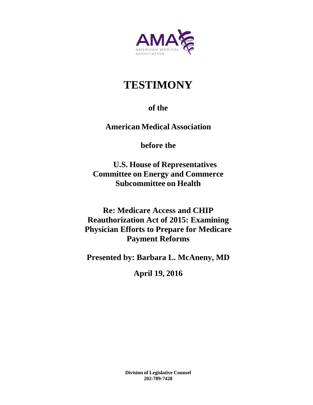

# **TESTIMONY**

# **of the**

**American Medical Association**

**before the**

**U.S. House of Representatives Committee on Energy and Commerce Subcommittee on Health**

**Re: Medicare Access and CHIP Reauthorization Act of 2015: Examining Physician Efforts to Prepare for Medicare Payment Reforms** 

**Presented by: Barbara L. McAneny, MD** 

**April 19, 2016**

**Division of Legislative Counsel 202-789-7428**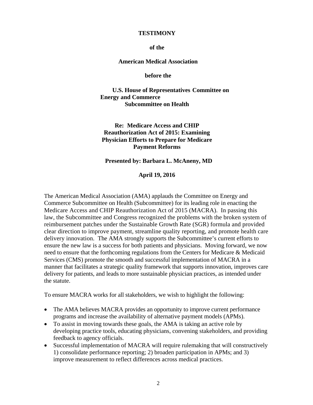#### **TESTIMONY**

#### **of the**

#### **American Medical Association**

**before the** 

**U.S. House of Representatives Committee on Energy and Commerce Subcommittee on Health**

**Re: Medicare Access and CHIP Reauthorization Act of 2015: Examining Physician Efforts to Prepare for Medicare Payment Reforms** 

#### **Presented by: Barbara L. McAneny, MD**

**April 19, 2016**

The American Medical Association (AMA) applauds the Committee on Energy and Commerce Subcommittee on Health (Subcommittee) for its leading role in enacting the Medicare Access and CHIP Reauthorization Act of 2015 (MACRA). In passing this law, the Subcommittee and Congress recognized the problems with the broken system of reimbursement patches under the Sustainable Growth Rate (SGR) formula and provided clear direction to improve payment, streamline quality reporting, and promote health care delivery innovation. The AMA strongly supports the Subcommittee's current efforts to ensure the new law is a success for both patients and physicians. Moving forward, we now need to ensure that the forthcoming regulations from the Centers for Medicare & Medicaid Services (CMS) promote the smooth and successful implementation of MACRA in a manner that facilitates a strategic quality framework that supports innovation, improves care delivery for patients, and leads to more sustainable physician practices, as intended under the statute.

To ensure MACRA works for all stakeholders, we wish to highlight the following:

- The AMA believes MACRA provides an opportunity to improve current performance programs and increase the availability of alternative payment models (APMs).
- To assist in moving towards these goals, the AMA is taking an active role by developing practice tools, educating physicians, convening stakeholders, and providing feedback to agency officials.
- Successful implementation of MACRA will require rulemaking that will constructively 1) consolidate performance reporting; 2) broaden participation in APMs; and 3) improve measurement to reflect differences across medical practices.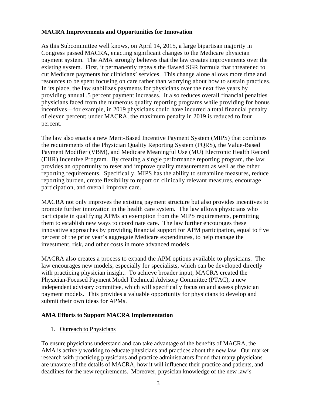### **MACRA Improvements and Opportunities for Innovation**

As this Subcommittee well knows, on April 14, 2015, a large bipartisan majority in Congress passed MACRA, enacting significant changes to the Medicare physician payment system. The AMA strongly believes that the law creates improvements over the existing system. First, it permanently repeals the flawed SGR formula that threatened to cut Medicare payments for clinicians' services. This change alone allows more time and resources to be spent focusing on care rather than worrying about how to sustain practices. In its place, the law stabilizes payments for physicians over the next five years by providing annual .5 percent payment increases. It also reduces overall financial penalties physicians faced from the numerous quality reporting programs while providing for bonus incentives—for example, in 2019 physicians could have incurred a total financial penalty of eleven percent; under MACRA, the maximum penalty in 2019 is reduced to four percent.

The law also enacts a new Merit-Based Incentive Payment System (MIPS) that combines the requirements of the Physician Quality Reporting System (PQRS), the Value-Based Payment Modifier (VBM), and Medicare Meaningful Use (MU) Electronic Health Record (EHR) Incentive Program. By creating a single performance reporting program, the law provides an opportunity to reset and improve quality measurement as well as the other reporting requirements. Specifically, MIPS has the ability to streamline measures, reduce reporting burden, create flexibility to report on clinically relevant measures, encourage participation, and overall improve care.

MACRA not only improves the existing payment structure but also provides incentives to promote further innovation in the health care system. The law allows physicians who participate in qualifying APMs an exemption from the MIPS requirements, permitting them to establish new ways to coordinate care. The law further encourages these innovative approaches by providing financial support for APM participation, equal to five percent of the prior year's aggregate Medicare expenditures, to help manage the investment, risk, and other costs in more advanced models.

MACRA also creates a process to expand the APM options available to physicians. The law encourages new models, especially for specialists, which can be developed directly with practicing physician insight. To achieve broader input, MACRA created the Physician-Focused Payment Model Technical Advisory Committee (PTAC), a new independent advisory committee, which will specifically focus on and assess physician payment models. This provides a valuable opportunity for physicians to develop and submit their own ideas for APMs.

# **AMA Efforts to Support MACRA Implementation**

# 1. Outreach to Physicians

To ensure physicians understand and can take advantage of the benefits of MACRA, the AMA is actively working to educate physicians and practices about the new law. Our market research with practicing physicians and practice administrators found that many physicians are unaware of the details of MACRA, how it will influence their practice and patients, and deadlines for the new requirements. Moreover, physician knowledge of the new law's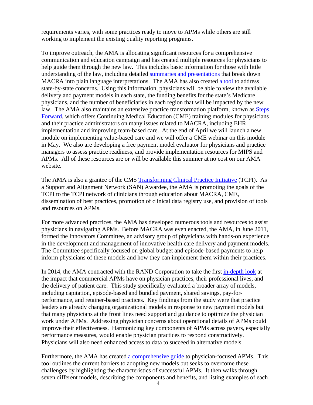requirements varies, with some practices ready to move to APMs while others are still working to implement the existing quality reporting programs.

To improve outreach, the AMA is allocating significant resources for a comprehensive communication and education campaign and has created multiple resources for physicians to help guide them through the new law. This includes basic information for those with little understanding of the law, including detailed summaries and presentations that break down MACRA into plain language interpretations. The AMA has also created a tool to address state-by-state concerns. Using this information, physicians will be able to view the available delivery and payment models in each state, the funding benefits for the state's Medicare physicians, and the number of beneficiaries in each region that will be impacted by the new law. The AMA also maintains an extensive practice transformation platform, known as Steps Forward, which offers Continuing Medical Education (CME) training modules for physicians and their practice administrators on many issues related to MACRA, including EHR implementation and improving team-based care. At the end of April we will launch a new module on implementing value-based care and we will offer a CME webinar on this module in May. We also are developing a free payment model evaluator for physicians and practice managers to assess practice readiness, and provide implementation resources for MIPS and APMs. All of these resources are or will be available this summer at no cost on our AMA website.

The AMA is also a grantee of the CMS Transforming Clinical Practice Initiative (TCPI). As a Support and Alignment Network (SAN) Awardee, the AMA is promoting the goals of the TCPI to the TCPI network of clinicians through education about MACRA, CME, dissemination of best practices, promotion of clinical data registry use, and provision of tools and resources on APMs.

For more advanced practices, the AMA has developed numerous tools and resources to assist physicians in navigating APMs. Before MACRA was even enacted, the AMA, in June 2011, formed the Innovators Committee, an advisory group of physicians with hands-on experience in the development and management of innovative health care delivery and payment models. The Committee specifically focused on global budget and episode-based payments to help inform physicians of these models and how they can implement them within their practices.

In 2014, the AMA contracted with the RAND Corporation to take the first in-depth look at the impact that commercial APMs have on physician practices, their professional lives, and the delivery of patient care. This study specifically evaluated a broader array of models, including capitation, episode-based and bundled payment, shared savings, pay-forperformance, and retainer-based practices. Key findings from the study were that practice leaders are already changing organizational models in response to new payment models but that many physicians at the front lines need support and guidance to optimize the physician work under APMs. Addressing physician concerns about operational details of APMs could improve their effectiveness. Harmonizing key components of APMs across payers, especially performance measures, would enable physician practices to respond constructively. Physicians will also need enhanced access to data to succeed in alternative models.

Furthermore, the AMA has created a comprehensive guide to physician-focused APMs. This tool outlines the current barriers to adopting new models but seeks to overcome these challenges by highlighting the characteristics of successful APMs. It then walks through seven different models, describing the components and benefits, and listing examples of each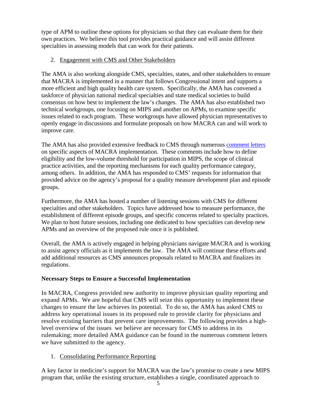type of APM to outline these options for physicians so that they can evaluate them for their own practices. We believe this tool provides practical guidance and will assist different specialties in assessing models that can work for their patients.

# 2. Engagement with CMS and Other Stakeholders

The AMA is also working alongside CMS, specialties, states, and other stakeholders to ensure that MACRA is implemented in a manner that follows Congressional intent and supports a more efficient and high quality health care system. Specifically, the AMA has convened a taskforce of physician national medical specialties and state medical societies to build consensus on how best to implement the law's changes. The AMA has also established two technical workgroups, one focusing on MIPS and another on APMs, to examine specific issues related to each program. These workgroups have allowed physician representatives to openly engage in discussions and formulate proposals on how MACRA can and will work to improve care.

The AMA has also provided extensive feedback to CMS through numerous comment letters on specific aspects of MACRA implementation. These comments include how to define eligibility and the low-volume threshold for participation in MIPS, the scope of clinical practice activities, and the reporting mechanisms for each quality performance category, among others. In addition, the AMA has responded to CMS' requests for information that provided advice on the agency's proposal for a quality measure development plan and episode groups.

Furthermore, the AMA has hosted a number of listening sessions with CMS for different specialties and other stakeholders. Topics have addressed how to measure performance, the establishment of different episode groups, and specific concerns related to specialty practices. We plan to host future sessions, including one dedicated to how specialties can develop new APMs and an overview of the proposed rule once it is published.

Overall, the AMA is actively engaged in helping physicians navigate MACRA and is working to assist agency officials as it implements the law. The AMA will continue these efforts and add additional resources as CMS announces proposals related to MACRA and finalizes its regulations.

# **Necessary Steps to Ensure a Successful Implementation**

In MACRA, Congress provided new authority to improve physician quality reporting and expand APMs. We are hopeful that CMS will seize this opportunity to implement these changes to ensure the law achieves its potential. To do so, the AMA has asked CMS to address key operational issues in its proposed rule to provide clarity for physicians and resolve existing barriers that prevent care improvements. The following provides a highlevel overview of the issues we believe are necessary for CMS to address in its rulemaking; more detailed AMA guidance can be found in the numerous comment letters we have submitted to the agency.

1. Consolidating Performance Reporting

A key factor in medicine's support for MACRA was the law's promise to create a new MIPS program that, unlike the existing structure, establishes a single, coordinated approach to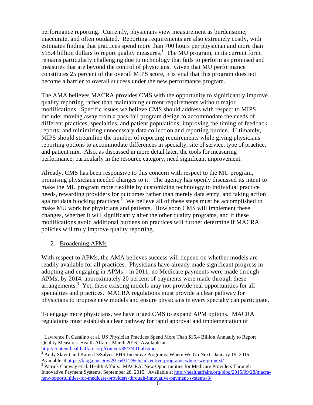performance reporting. Currently, physicians view measurement as burdensome, inaccurate, and often outdated. Reporting requirements are also extremely costly, with estimates finding that practices spend more than 700 hours per physician and more than \$15.4 billion dollars to report quality measures.<sup>1</sup> The MU program, in its current form, remains particularly challenging due to technology that fails to perform as promised and measures that are beyond the control of physicians. Given that MU performance constitutes 25 percent of the overall MIPS score, it is vital that this program does not become a barrier to overall success under the new performance program.

The AMA believes MACRA provides CMS with the opportunity to significantly improve quality reporting rather than maintaining current requirements without major modifications. Specific issues we believe CMS should address with respect to MIPS include: moving away from a pass-fail program design to accommodate the needs of different practices, specialties, and patient populations; improving the timing of feedback reports; and minimizing unnecessary data collection and reporting burden. Ultimately, MIPS should streamline the number of reporting requirements while giving physicians reporting options to accommodate differences in specialty, site of service, type of practice, and patient mix. Also, as discussed in more detail later, the tools for measuring performance, particularly in the resource category, need significant improvement.

Already, CMS has been responsive to this concern with respect to the MU program, promising physicians needed changes to it. The agency has openly discussed its intent to make the MU program more flexible by customizing technology to individual practice needs, rewarding providers for outcomes rather than merely data entry, and taking action against data blocking practices.<sup>2</sup> We believe all of these steps must be accomplished to make MU work for physicians and patients. How soon CMS will implement these changes, whether it will significantly alter the other quality programs, and if these modifications avoid additional burdens on practices will further determine if MACRA policies will truly improve quality reporting.

2. Broadening APMs

With respect to APMs, the AMA believes success will depend on whether models are readily available for all practices. Physicians have already made significant progress in adopting and engaging in APMs—in 2011, no Medicare payments were made through APMs; by 2014, approximately 20 percent of payments were made through these arrangements.<sup>3</sup> Yet, these existing models may not provide real opportunities for all specialties and practices. MACRA regulations must provide a clear pathway for physicians to propose new models and ensure physicians in every specialty can participate.

To engage more physicians, we have urged CMS to expand APM options. MACRA regulations must establish a clear pathway for rapid approval and implementation of

 <sup>1</sup> Lawrence P. Casalino et al. US Physician Practices Spend More Than \$15.4 Billion Annually to Report Quality Measures. Health Affairs. March 2016. Available at http://content.healthaffairs.org/content/35/3/401.abstract

<sup>2</sup> Andy Slavitt and Karen DeSalvo. EHR Incentive Programs: Where We Go Next. January 19, 2016. Available at https://blog.cms.gov/2016/01/19/ehr-incentive-programs-where-we-go-next/ 3

<sup>&</sup>lt;sup>3</sup> Patrick Conway et al. Health Affairs. MACRA: New Opportunities for Medicare Providers Through Innovative Payment Systems. September 28, 2015. Available at http://healthaffairs.org/blog/2015/09/28/macranew-opportunities-for-medicare-providers-through-innovative-payment-systems-3/